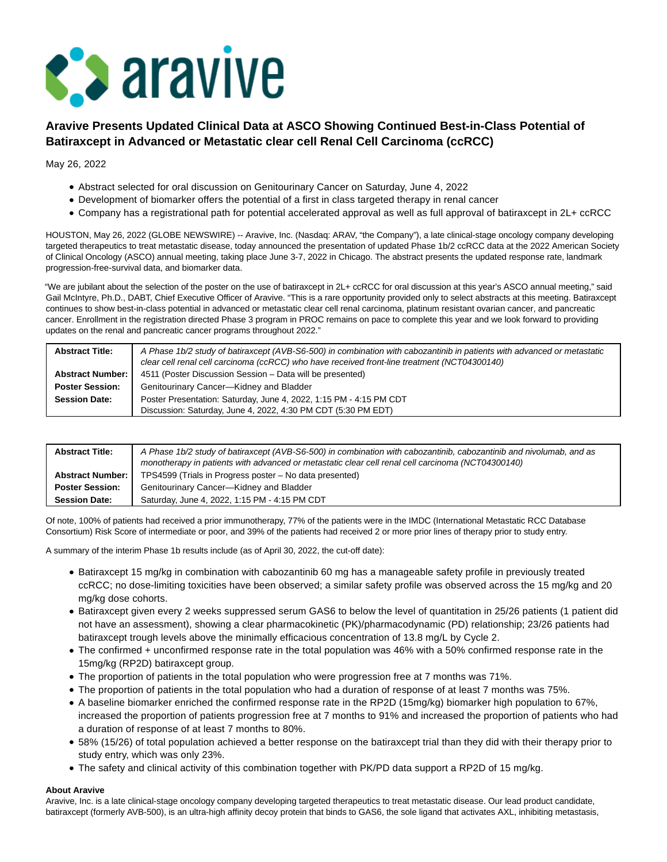

## **Aravive Presents Updated Clinical Data at ASCO Showing Continued Best-in-Class Potential of Batiraxcept in Advanced or Metastatic clear cell Renal Cell Carcinoma (ccRCC)**

May 26, 2022

- Abstract selected for oral discussion on Genitourinary Cancer on Saturday, June 4, 2022
- Development of biomarker offers the potential of a first in class targeted therapy in renal cancer
- Company has a registrational path for potential accelerated approval as well as full approval of batiraxcept in 2L+ ccRCC

HOUSTON, May 26, 2022 (GLOBE NEWSWIRE) -- Aravive, Inc. (Nasdaq: ARAV, "the Company"), a late clinical-stage oncology company developing targeted therapeutics to treat metastatic disease, today announced the presentation of updated Phase 1b/2 ccRCC data at the 2022 American Society of Clinical Oncology (ASCO) annual meeting, taking place June 3-7, 2022 in Chicago. The abstract presents the updated response rate, landmark progression-free-survival data, and biomarker data.

"We are jubilant about the selection of the poster on the use of batiraxcept in 2L+ ccRCC for oral discussion at this year's ASCO annual meeting," said Gail McIntyre, Ph.D., DABT, Chief Executive Officer of Aravive. "This is a rare opportunity provided only to select abstracts at this meeting. Batiraxcept continues to show best-in-class potential in advanced or metastatic clear cell renal carcinoma, platinum resistant ovarian cancer, and pancreatic cancer. Enrollment in the registration directed Phase 3 program in PROC remains on pace to complete this year and we look forward to providing updates on the renal and pancreatic cancer programs throughout 2022."

| <b>Abstract Title:</b>  | A Phase 1b/2 study of batiraxcept (AVB-S6-500) in combination with cabozantinib in patients with advanced or metastatic<br>clear cell renal cell carcinoma (ccRCC) who have received front-line treatment (NCT04300140) |
|-------------------------|-------------------------------------------------------------------------------------------------------------------------------------------------------------------------------------------------------------------------|
| <b>Abstract Number:</b> | 4511 (Poster Discussion Session - Data will be presented)                                                                                                                                                               |
| <b>Poster Session:</b>  | Genitourinary Cancer-Kidney and Bladder                                                                                                                                                                                 |
| <b>Session Date:</b>    | Poster Presentation: Saturday, June 4, 2022, 1:15 PM - 4:15 PM CDT                                                                                                                                                      |
|                         | Discussion: Saturday, June 4, 2022, 4:30 PM CDT (5:30 PM EDT)                                                                                                                                                           |

| <b>Abstract Title:</b>  | A Phase 1b/2 study of batiraxcept (AVB-S6-500) in combination with cabozantinib, cabozantinib and nivolumab, and as<br>monotherapy in patients with advanced or metastatic clear cell renal cell carcinoma (NCT04300140) |
|-------------------------|--------------------------------------------------------------------------------------------------------------------------------------------------------------------------------------------------------------------------|
| <b>Abstract Number:</b> | TPS4599 (Trials in Progress poster - No data presented)                                                                                                                                                                  |
| <b>Poster Session:</b>  | Genitourinary Cancer-Kidney and Bladder                                                                                                                                                                                  |
| <b>Session Date:</b>    | Saturday, June 4, 2022, 1:15 PM - 4:15 PM CDT                                                                                                                                                                            |

Of note, 100% of patients had received a prior immunotherapy, 77% of the patients were in the IMDC (International Metastatic RCC Database Consortium) Risk Score of intermediate or poor, and 39% of the patients had received 2 or more prior lines of therapy prior to study entry.

A summary of the interim Phase 1b results include (as of April 30, 2022, the cut-off date):

- Batiraxcept 15 mg/kg in combination with cabozantinib 60 mg has a manageable safety profile in previously treated ccRCC; no dose-limiting toxicities have been observed; a similar safety profile was observed across the 15 mg/kg and 20 mg/kg dose cohorts.
- Batiraxcept given every 2 weeks suppressed serum GAS6 to below the level of quantitation in 25/26 patients (1 patient did not have an assessment), showing a clear pharmacokinetic (PK)/pharmacodynamic (PD) relationship; 23/26 patients had batiraxcept trough levels above the minimally efficacious concentration of 13.8 mg/L by Cycle 2.
- The confirmed + unconfirmed response rate in the total population was 46% with a 50% confirmed response rate in the 15mg/kg (RP2D) batiraxcept group.
- The proportion of patients in the total population who were progression free at 7 months was 71%.
- The proportion of patients in the total population who had a duration of response of at least 7 months was 75%.
- A baseline biomarker enriched the confirmed response rate in the RP2D (15mg/kg) biomarker high population to 67%, increased the proportion of patients progression free at 7 months to 91% and increased the proportion of patients who had a duration of response of at least 7 months to 80%.
- 58% (15/26) of total population achieved a better response on the batiraxcept trial than they did with their therapy prior to study entry, which was only 23%.
- The safety and clinical activity of this combination together with PK/PD data support a RP2D of 15 mg/kg.

## **About Aravive**

Aravive, Inc. is a late clinical-stage oncology company developing targeted therapeutics to treat metastatic disease. Our lead product candidate, batiraxcept (formerly AVB-500), is an ultra-high affinity decoy protein that binds to GAS6, the sole ligand that activates AXL, inhibiting metastasis,